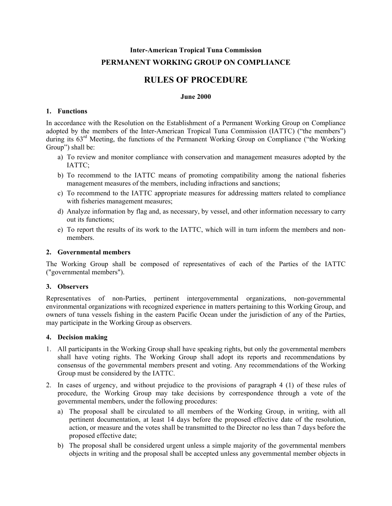# **Inter-American Tropical Tuna Commission PERMANENT WORKING GROUP ON COMPLIANCE**

## **RULES OF PROCEDURE**

#### **June 2000**

#### **1. Functions**

In accordance with the Resolution on the Establishment of a Permanent Working Group on Compliance adopted by the members of the Inter-American Tropical Tuna Commission (IATTC) ("the members") during its  $63<sup>rd</sup>$  Meeting, the functions of the Permanent Working Group on Compliance ("the Working") Group") shall be:

- a) To review and monitor compliance with conservation and management measures adopted by the IATTC;
- b) To recommend to the IATTC means of promoting compatibility among the national fisheries management measures of the members, including infractions and sanctions;
- c) To recommend to the IATTC appropriate measures for addressing matters related to compliance with fisheries management measures;
- d) Analyze information by flag and, as necessary, by vessel, and other information necessary to carry out its functions;
- e) To report the results of its work to the IATTC, which will in turn inform the members and nonmembers.

#### **2. Governmental members**

The Working Group shall be composed of representatives of each of the Parties of the IATTC ("governmental members").

#### **3. Observers**

Representatives of non-Parties, pertinent intergovernmental organizations, non-governmental environmental organizations with recognized experience in matters pertaining to this Working Group, and owners of tuna vessels fishing in the eastern Pacific Ocean under the jurisdiction of any of the Parties, may participate in the Working Group as observers.

#### **4. Decision making**

- 1. All participants in the Working Group shall have speaking rights, but only the governmental members shall have voting rights. The Working Group shall adopt its reports and recommendations by consensus of the governmental members present and voting. Any recommendations of the Working Group must be considered by the IATTC.
- 2. In cases of urgency, and without prejudice to the provisions of paragraph 4 (1) of these rules of procedure, the Working Group may take decisions by correspondence through a vote of the governmental members, under the following procedures:
	- a) The proposal shall be circulated to all members of the Working Group, in writing, with all pertinent documentation, at least 14 days before the proposed effective date of the resolution, action, or measure and the votes shall be transmitted to the Director no less than 7 days before the proposed effective date;
	- b) The proposal shall be considered urgent unless a simple majority of the governmental members objects in writing and the proposal shall be accepted unless any governmental member objects in